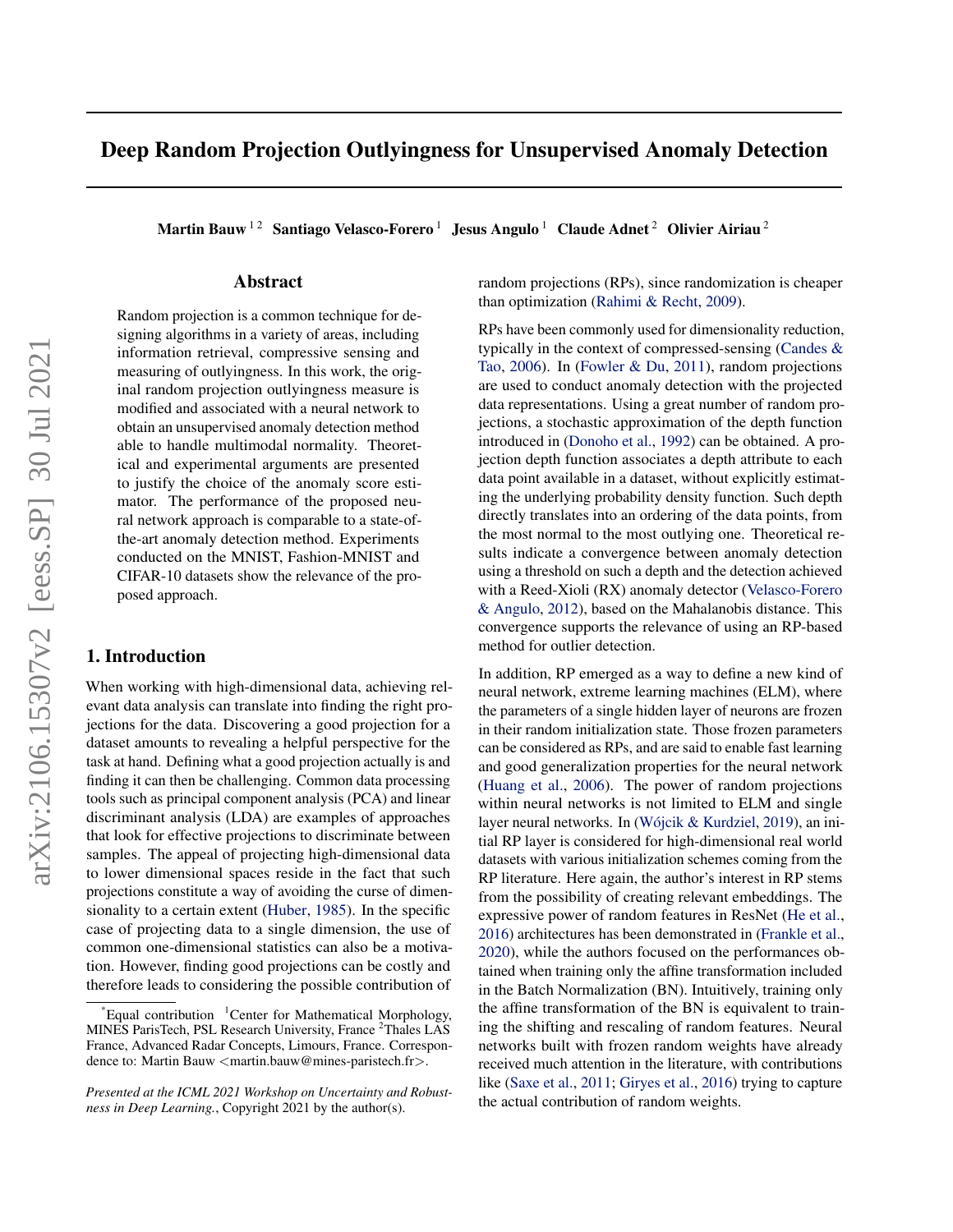# Deep Random Projection Outlyingness for Unsupervised Anomaly Detection

Martin Bauw<sup>12</sup> Santiago Velasco-Forero<sup>1</sup> Jesus Angulo<sup>1</sup> Claude Adnet<sup>2</sup> Olivier Airiau<sup>2</sup>

## Abstract

Random projection is a common technique for designing algorithms in a variety of areas, including information retrieval, compressive sensing and measuring of outlyingness. In this work, the original random projection outlyingness measure is modified and associated with a neural network to obtain an unsupervised anomaly detection method able to handle multimodal normality. Theoretical and experimental arguments are presented to justify the choice of the anomaly score estimator. The performance of the proposed neural network approach is comparable to a state-ofthe-art anomaly detection method. Experiments conducted on the MNIST, Fashion-MNIST and CIFAR-10 datasets show the relevance of the proposed approach.

## 1. Introduction

When working with high-dimensional data, achieving relevant data analysis can translate into finding the right projections for the data. Discovering a good projection for a dataset amounts to revealing a helpful perspective for the task at hand. Defining what a good projection actually is and finding it can then be challenging. Common data processing tools such as principal component analysis (PCA) and linear discriminant analysis (LDA) are examples of approaches that look for effective projections to discriminate between samples. The appeal of projecting high-dimensional data to lower dimensional spaces reside in the fact that such projections constitute a way of avoiding the curse of dimensionality to a certain extent [\(Huber,](#page-4-0) [1985\)](#page-4-0). In the specific case of projecting data to a single dimension, the use of common one-dimensional statistics can also be a motivation. However, finding good projections can be costly and therefore leads to considering the possible contribution of

random projections (RPs), since randomization is cheaper than optimization [\(Rahimi & Recht,](#page-4-0) [2009\)](#page-4-0).

RPs have been commonly used for dimensionality reduction, typically in the context of compressed-sensing [\(Candes &](#page-4-0) [Tao,](#page-4-0) [2006\)](#page-4-0). In [\(Fowler & Du,](#page-4-0) [2011\)](#page-4-0), random projections are used to conduct anomaly detection with the projected data representations. Using a great number of random projections, a stochastic approximation of the depth function introduced in [\(Donoho et al.,](#page-4-0) [1992\)](#page-4-0) can be obtained. A projection depth function associates a depth attribute to each data point available in a dataset, without explicitly estimating the underlying probability density function. Such depth directly translates into an ordering of the data points, from the most normal to the most outlying one. Theoretical results indicate a convergence between anomaly detection using a threshold on such a depth and the detection achieved with a Reed-Xioli (RX) anomaly detector [\(Velasco-Forero](#page-4-0) [& Angulo,](#page-4-0) [2012\)](#page-4-0), based on the Mahalanobis distance. This convergence supports the relevance of using an RP-based method for outlier detection.

In addition, RP emerged as a way to define a new kind of neural network, extreme learning machines (ELM), where the parameters of a single hidden layer of neurons are frozen in their random initialization state. Those frozen parameters can be considered as RPs, and are said to enable fast learning and good generalization properties for the neural network [\(Huang et al.,](#page-4-0) [2006\)](#page-4-0). The power of random projections within neural networks is not limited to ELM and single layer neural networks. In (Wójcik & Kurdziel, [2019\)](#page-5-0), an initial RP layer is considered for high-dimensional real world datasets with various initialization schemes coming from the RP literature. Here again, the author's interest in RP stems from the possibility of creating relevant embeddings. The expressive power of random features in ResNet [\(He et al.,](#page-4-0) [2016\)](#page-4-0) architectures has been demonstrated in [\(Frankle et al.,](#page-4-0) [2020\)](#page-4-0), while the authors focused on the performances obtained when training only the affine transformation included in the Batch Normalization (BN). Intuitively, training only the affine transformation of the BN is equivalent to training the shifting and rescaling of random features. Neural networks built with frozen random weights have already received much attention in the literature, with contributions like [\(Saxe et al.,](#page-4-0) [2011;](#page-4-0) [Giryes et al.,](#page-4-0) [2016\)](#page-4-0) trying to capture the actual contribution of random weights.

Equal contribution  ${}^{1}$ Center for Mathematical Morphology, MINES ParisTech, PSL Research University, France <sup>2</sup>Thales LAS France, Advanced Radar Concepts, Limours, France. Correspondence to: Martin Bauw <martin.bauw@mines-paristech.fr>.

*Presented at the ICML 2021 Workshop on Uncertainty and Robustness in Deep Learning.*, Copyright 2021 by the author(s).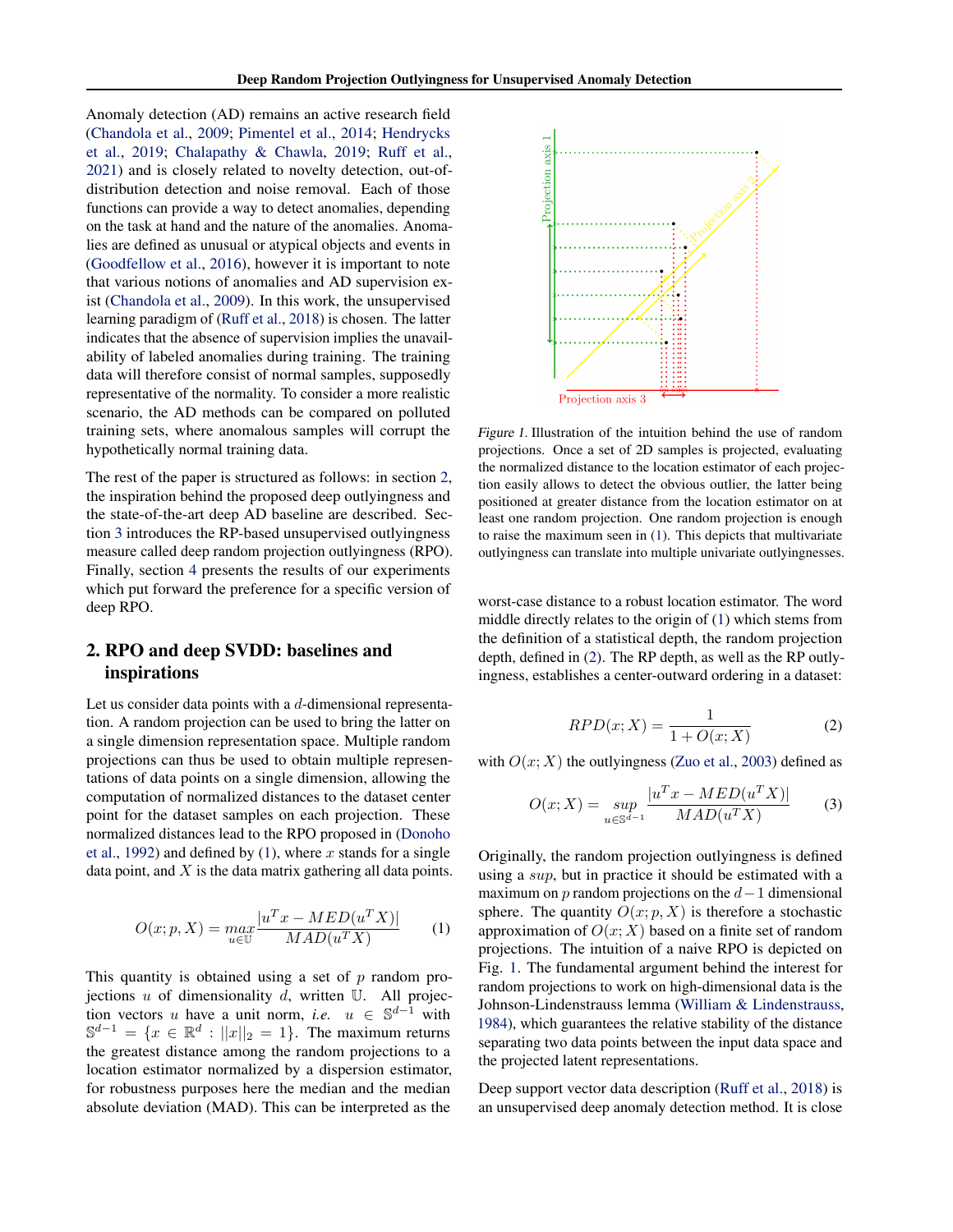<span id="page-1-0"></span>Anomaly detection (AD) remains an active research field [\(Chandola et al.,](#page-4-0) [2009;](#page-4-0) [Pimentel et al.,](#page-4-0) [2014;](#page-4-0) [Hendrycks](#page-4-0) [et al.,](#page-4-0) [2019;](#page-4-0) [Chalapathy & Chawla,](#page-4-0) [2019;](#page-4-0) [Ruff et al.,](#page-4-0) [2021\)](#page-4-0) and is closely related to novelty detection, out-ofdistribution detection and noise removal. Each of those functions can provide a way to detect anomalies, depending on the task at hand and the nature of the anomalies. Anomalies are defined as unusual or atypical objects and events in [\(Goodfellow et al.,](#page-4-0) [2016\)](#page-4-0), however it is important to note that various notions of anomalies and AD supervision exist [\(Chandola et al.,](#page-4-0) [2009\)](#page-4-0). In this work, the unsupervised learning paradigm of [\(Ruff et al.,](#page-4-0) [2018\)](#page-4-0) is chosen. The latter indicates that the absence of supervision implies the unavailability of labeled anomalies during training. The training data will therefore consist of normal samples, supposedly representative of the normality. To consider a more realistic scenario, the AD methods can be compared on polluted training sets, where anomalous samples will corrupt the hypothetically normal training data.

The rest of the paper is structured as follows: in section 2, the inspiration behind the proposed deep outlyingness and the state-of-the-art deep AD baseline are described. Section [3](#page-2-0) introduces the RP-based unsupervised outlyingness measure called deep random projection outlyingness (RPO). Finally, section [4](#page-2-0) presents the results of our experiments which put forward the preference for a specific version of deep RPO.

# 2. RPO and deep SVDD: baselines and inspirations

Let us consider data points with a d-dimensional representation. A random projection can be used to bring the latter on a single dimension representation space. Multiple random projections can thus be used to obtain multiple representations of data points on a single dimension, allowing the computation of normalized distances to the dataset center point for the dataset samples on each projection. These normalized distances lead to the RPO proposed in [\(Donoho](#page-4-0) [et al.,](#page-4-0) [1992\)](#page-4-0) and defined by (1), where x stands for a single data point, and  $X$  is the data matrix gathering all data points.

$$
O(x; p, X) = \max_{u \in \mathbb{U}} \frac{|u^T x - MED(u^T X)|}{MAD(u^T X)}
$$
(1)

This quantity is obtained using a set of  $p$  random projections  $u$  of dimensionality  $d$ , written  $U$ . All projection vectors u have a unit norm, *i.e.*  $u \in \mathbb{S}^{d-1}$  with  $\mathbb{S}^{d-1} = \{x \in \mathbb{R}^d : ||x||_2 = 1\}.$  The maximum returns the greatest distance among the random projections to a location estimator normalized by a dispersion estimator, for robustness purposes here the median and the median absolute deviation (MAD). This can be interpreted as the



Figure 1. Illustration of the intuition behind the use of random projections. Once a set of 2D samples is projected, evaluating the normalized distance to the location estimator of each projection easily allows to detect the obvious outlier, the latter being positioned at greater distance from the location estimator on at least one random projection. One random projection is enough to raise the maximum seen in (1). This depicts that multivariate outlyingness can translate into multiple univariate outlyingnesses.

worst-case distance to a robust location estimator. The word middle directly relates to the origin of (1) which stems from the definition of a statistical depth, the random projection depth, defined in (2). The RP depth, as well as the RP outlyingness, establishes a center-outward ordering in a dataset:

$$
RPD(x;X) = \frac{1}{1 + O(x;X)}\tag{2}
$$

with  $O(x; X)$  the outlyingness [\(Zuo et al.,](#page-5-0) [2003\)](#page-5-0) defined as

$$
O(x;X) = \sup_{u \in \mathbb{S}^{d-1}} \frac{|u^T x - MED(u^T X)|}{MAD(u^T X)} \tag{3}
$$

Originally, the random projection outlyingness is defined using a sup, but in practice it should be estimated with a maximum on p random projections on the  $d-1$  dimensional sphere. The quantity  $O(x; p, X)$  is therefore a stochastic approximation of  $O(x; X)$  based on a finite set of random projections. The intuition of a naive RPO is depicted on Fig. 1. The fundamental argument behind the interest for random projections to work on high-dimensional data is the Johnson-Lindenstrauss lemma [\(William & Lindenstrauss,](#page-5-0) [1984\)](#page-5-0), which guarantees the relative stability of the distance separating two data points between the input data space and the projected latent representations.

Deep support vector data description [\(Ruff et al.,](#page-4-0) [2018\)](#page-4-0) is an unsupervised deep anomaly detection method. It is close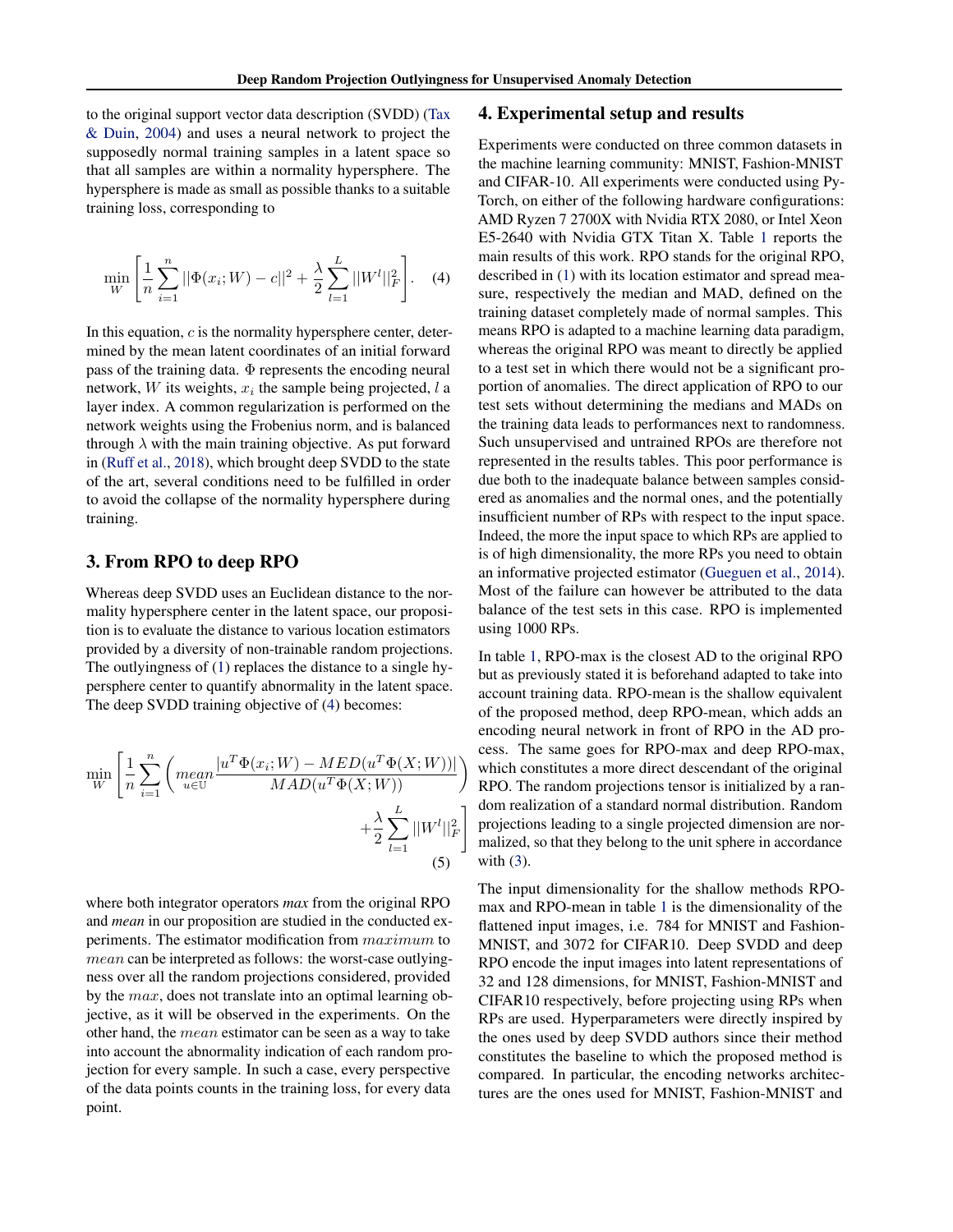<span id="page-2-0"></span>to the original support vector data description (SVDD) [\(Tax](#page-4-0) [& Duin,](#page-4-0) [2004\)](#page-4-0) and uses a neural network to project the supposedly normal training samples in a latent space so that all samples are within a normality hypersphere. The hypersphere is made as small as possible thanks to a suitable training loss, corresponding to

$$
\min_{W} \left[ \frac{1}{n} \sum_{i=1}^{n} ||\Phi(x_i; W) - c||^2 + \frac{\lambda}{2} \sum_{l=1}^{L} ||W^l||_F^2 \right].
$$
 (4)

In this equation,  $c$  is the normality hypersphere center, determined by the mean latent coordinates of an initial forward pass of the training data. Φ represents the encoding neural network, W its weights,  $x_i$  the sample being projected, l a layer index. A common regularization is performed on the network weights using the Frobenius norm, and is balanced through  $\lambda$  with the main training objective. As put forward in [\(Ruff et al.,](#page-4-0) [2018\)](#page-4-0), which brought deep SVDD to the state of the art, several conditions need to be fulfilled in order to avoid the collapse of the normality hypersphere during training.

### 3. From RPO to deep RPO

Whereas deep SVDD uses an Euclidean distance to the normality hypersphere center in the latent space, our proposition is to evaluate the distance to various location estimators provided by a diversity of non-trainable random projections. The outlyingness of [\(1\)](#page-1-0) replaces the distance to a single hypersphere center to quantify abnormality in the latent space. The deep SVDD training objective of (4) becomes:

$$
\min_{W} \left[ \frac{1}{n} \sum_{i=1}^{n} \left( \underset{u \in \mathbb{U}}{\text{mean}} \frac{|u^T \Phi(x_i; W) - MED(u^T \Phi(X; W))|}{MAD(u^T \Phi(X; W))} \right) + \frac{\lambda}{2} \sum_{l=1}^{L} ||W^l||_F^2 \right] \tag{5}
$$

where both integrator operators *max* from the original RPO and *mean* in our proposition are studied in the conducted experiments. The estimator modification from maximum to mean can be interpreted as follows: the worst-case outlyingness over all the random projections considered, provided by the max, does not translate into an optimal learning objective, as it will be observed in the experiments. On the other hand, the mean estimator can be seen as a way to take into account the abnormality indication of each random projection for every sample. In such a case, every perspective of the data points counts in the training loss, for every data point.

#### 4. Experimental setup and results

Experiments were conducted on three common datasets in the machine learning community: MNIST, Fashion-MNIST and CIFAR-10. All experiments were conducted using Py-Torch, on either of the following hardware configurations: AMD Ryzen 7 2700X with Nvidia RTX 2080, or Intel Xeon E5-2640 with Nvidia GTX Titan X. Table [1](#page-3-0) reports the main results of this work. RPO stands for the original RPO, described in [\(1\)](#page-1-0) with its location estimator and spread measure, respectively the median and MAD, defined on the training dataset completely made of normal samples. This means RPO is adapted to a machine learning data paradigm, whereas the original RPO was meant to directly be applied to a test set in which there would not be a significant proportion of anomalies. The direct application of RPO to our test sets without determining the medians and MADs on the training data leads to performances next to randomness. Such unsupervised and untrained RPOs are therefore not represented in the results tables. This poor performance is due both to the inadequate balance between samples considered as anomalies and the normal ones, and the potentially insufficient number of RPs with respect to the input space. Indeed, the more the input space to which RPs are applied to is of high dimensionality, the more RPs you need to obtain an informative projected estimator [\(Gueguen et al.,](#page-4-0) [2014\)](#page-4-0). Most of the failure can however be attributed to the data balance of the test sets in this case. RPO is implemented using 1000 RPs.

In table [1,](#page-3-0) RPO-max is the closest AD to the original RPO but as previously stated it is beforehand adapted to take into account training data. RPO-mean is the shallow equivalent of the proposed method, deep RPO-mean, which adds an encoding neural network in front of RPO in the AD process. The same goes for RPO-max and deep RPO-max, which constitutes a more direct descendant of the original RPO. The random projections tensor is initialized by a random realization of a standard normal distribution. Random projections leading to a single projected dimension are normalized, so that they belong to the unit sphere in accordance with  $(3)$ .

The input dimensionality for the shallow methods RPOmax and RPO-mean in table [1](#page-3-0) is the dimensionality of the flattened input images, i.e. 784 for MNIST and Fashion-MNIST, and 3072 for CIFAR10. Deep SVDD and deep RPO encode the input images into latent representations of 32 and 128 dimensions, for MNIST, Fashion-MNIST and CIFAR10 respectively, before projecting using RPs when RPs are used. Hyperparameters were directly inspired by the ones used by deep SVDD authors since their method constitutes the baseline to which the proposed method is compared. In particular, the encoding networks architectures are the ones used for MNIST, Fashion-MNIST and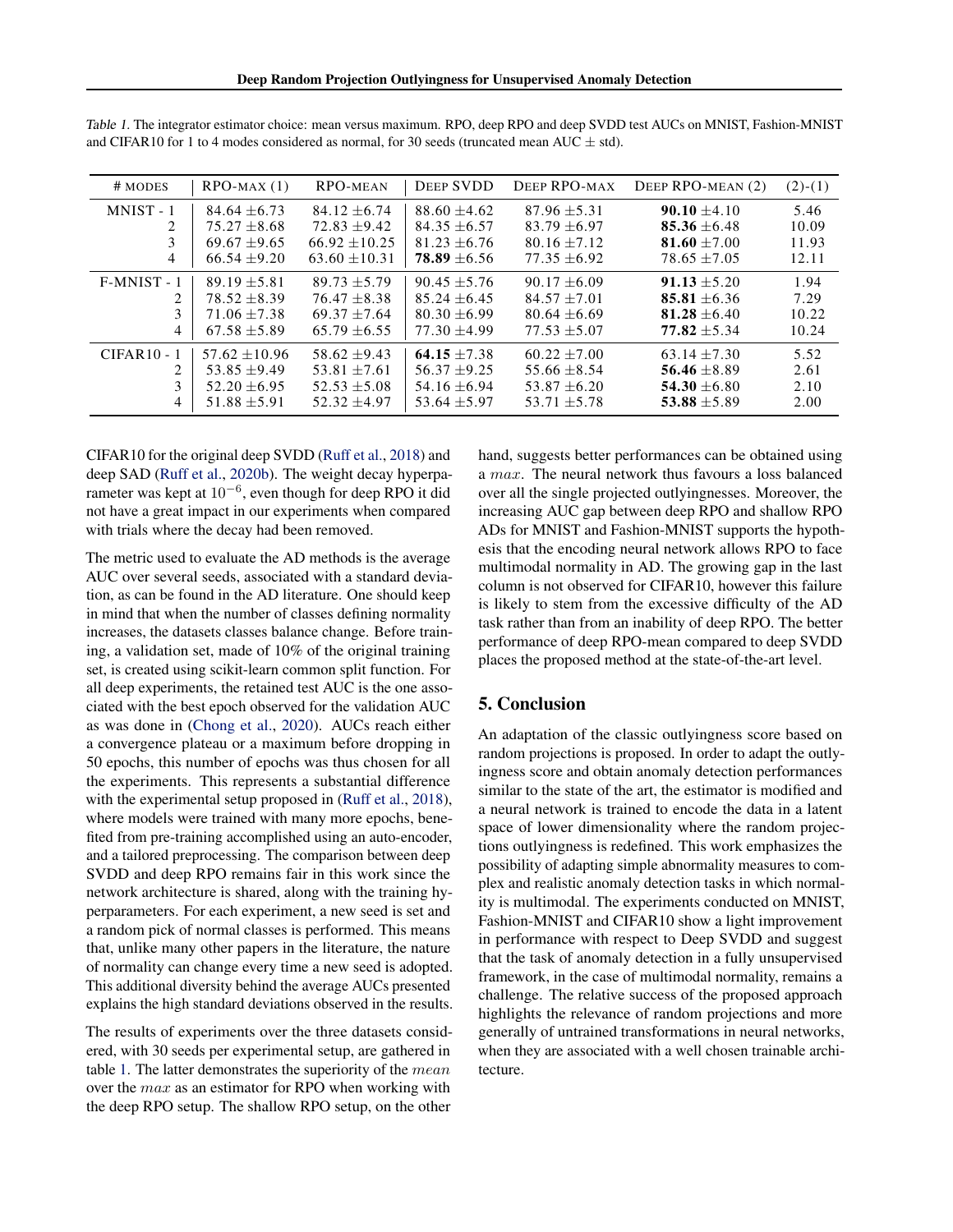| # MODES                     | $RPO-MAX(1)$     | RPO-MEAN          | <b>DEEP SVDD</b> | DEEP RPO-MAX     | DEEP RPO-MEAN (2) | $(2)-(1)$ |
|-----------------------------|------------------|-------------------|------------------|------------------|-------------------|-----------|
| MNIST-1                     | $84.64 + 6.73$   | $84.12 + 6.74$    | $88.60 + 4.62$   | $87.96 + 5.31$   | $90.10 + 4.10$    | 5.46      |
| 2                           | $75.27 + 8.68$   | $72.83 + 9.42$    | $84.35 + 6.57$   | $83.79 + 6.97$   | $85.36 + 6.48$    | 10.09     |
| 3                           | $69.67 + 9.65$   | $66.92 + 10.25$   | $81.23 + 6.76$   | $80.16 + 7.12$   | $81.60 + 7.00$    | 11.93     |
| 4                           | $66.54 + 9.20$   | $63.60 \pm 10.31$ | $78.89 \pm 6.56$ | $77.35 + 6.92$   | $78.65 + 7.05$    | 12.11     |
| $F-MNIST - 1$               | $89.19 + 5.81$   | $89.73 + 5.79$    | $90.45 + 5.76$   | $90.17 + 6.09$   | $91.13 + 5.20$    | 1.94      |
| 2.                          | $78.52 + 8.39$   | $76.47 + 8.38$    | $85.24 + 6.45$   | $84.57 + 7.01$   | $85.81 + 6.36$    | 7.29      |
| 3                           | $71.06 + 7.38$   | $69.37 + 7.64$    | $80.30 + 6.99$   | $80.64 + 6.69$   | $81.28 + 6.40$    | 10.22     |
| 4                           | $67.58 + 5.89$   | $65.79 + 6.55$    | $77.30 + 4.99$   | $77.53 + 5.07$   | $77.82 + 5.34$    | 10.24     |
| $CIFAR10 - 1$               | $57.62 + 10.96$  | $58.62 + 9.43$    | $64.15 + 7.38$   | $60.22 + 7.00$   | $63.14 + 7.30$    | 5.52      |
| $\mathcal{D}_{\mathcal{A}}$ | $53.85 + 9.49$   | $53.81 + 7.61$    | $56.37 + 9.25$   | $55.66 + 8.54$   | 56.46 $\pm$ 8.89  | 2.61      |
| 3                           | $52.20 + 6.95$   | $52.53 + 5.08$    | $54.16 + 6.94$   | $53.87 + 6.20$   | $54.30 + 6.80$    | 2.10      |
| 4                           | $51.88 \pm 5.91$ | $52.32 + 4.97$    | $53.64 \pm 5.97$ | $53.71 \pm 5.78$ | 53.88 $\pm$ 5.89  | 2.00      |

<span id="page-3-0"></span>Table 1. The integrator estimator choice: mean versus maximum. RPO, deep RPO and deep SVDD test AUCs on MNIST, Fashion-MNIST and CIFAR10 for 1 to 4 modes considered as normal, for 30 seeds (truncated mean AUC  $\pm$  std).

CIFAR10 for the original deep SVDD [\(Ruff et al.,](#page-4-0) [2018\)](#page-4-0) and deep SAD [\(Ruff et al.,](#page-4-0) [2020b\)](#page-4-0). The weight decay hyperparameter was kept at  $10^{-6}$ , even though for deep RPO it did not have a great impact in our experiments when compared with trials where the decay had been removed.

The metric used to evaluate the AD methods is the average AUC over several seeds, associated with a standard deviation, as can be found in the AD literature. One should keep in mind that when the number of classes defining normality increases, the datasets classes balance change. Before training, a validation set, made of 10% of the original training set, is created using scikit-learn common split function. For all deep experiments, the retained test AUC is the one associated with the best epoch observed for the validation AUC as was done in [\(Chong et al.,](#page-4-0) [2020\)](#page-4-0). AUCs reach either a convergence plateau or a maximum before dropping in 50 epochs, this number of epochs was thus chosen for all the experiments. This represents a substantial difference with the experimental setup proposed in [\(Ruff et al.,](#page-4-0) [2018\)](#page-4-0), where models were trained with many more epochs, benefited from pre-training accomplished using an auto-encoder, and a tailored preprocessing. The comparison between deep SVDD and deep RPO remains fair in this work since the network architecture is shared, along with the training hyperparameters. For each experiment, a new seed is set and a random pick of normal classes is performed. This means that, unlike many other papers in the literature, the nature of normality can change every time a new seed is adopted. This additional diversity behind the average AUCs presented explains the high standard deviations observed in the results.

The results of experiments over the three datasets considered, with 30 seeds per experimental setup, are gathered in table 1. The latter demonstrates the superiority of the  $mean$ over the max as an estimator for RPO when working with the deep RPO setup. The shallow RPO setup, on the other

hand, suggests better performances can be obtained using a max. The neural network thus favours a loss balanced over all the single projected outlyingnesses. Moreover, the increasing AUC gap between deep RPO and shallow RPO ADs for MNIST and Fashion-MNIST supports the hypothesis that the encoding neural network allows RPO to face multimodal normality in AD. The growing gap in the last column is not observed for CIFAR10, however this failure is likely to stem from the excessive difficulty of the AD task rather than from an inability of deep RPO. The better performance of deep RPO-mean compared to deep SVDD places the proposed method at the state-of-the-art level.

## 5. Conclusion

An adaptation of the classic outlyingness score based on random projections is proposed. In order to adapt the outlyingness score and obtain anomaly detection performances similar to the state of the art, the estimator is modified and a neural network is trained to encode the data in a latent space of lower dimensionality where the random projections outlyingness is redefined. This work emphasizes the possibility of adapting simple abnormality measures to complex and realistic anomaly detection tasks in which normality is multimodal. The experiments conducted on MNIST, Fashion-MNIST and CIFAR10 show a light improvement in performance with respect to Deep SVDD and suggest that the task of anomaly detection in a fully unsupervised framework, in the case of multimodal normality, remains a challenge. The relative success of the proposed approach highlights the relevance of random projections and more generally of untrained transformations in neural networks, when they are associated with a well chosen trainable architecture.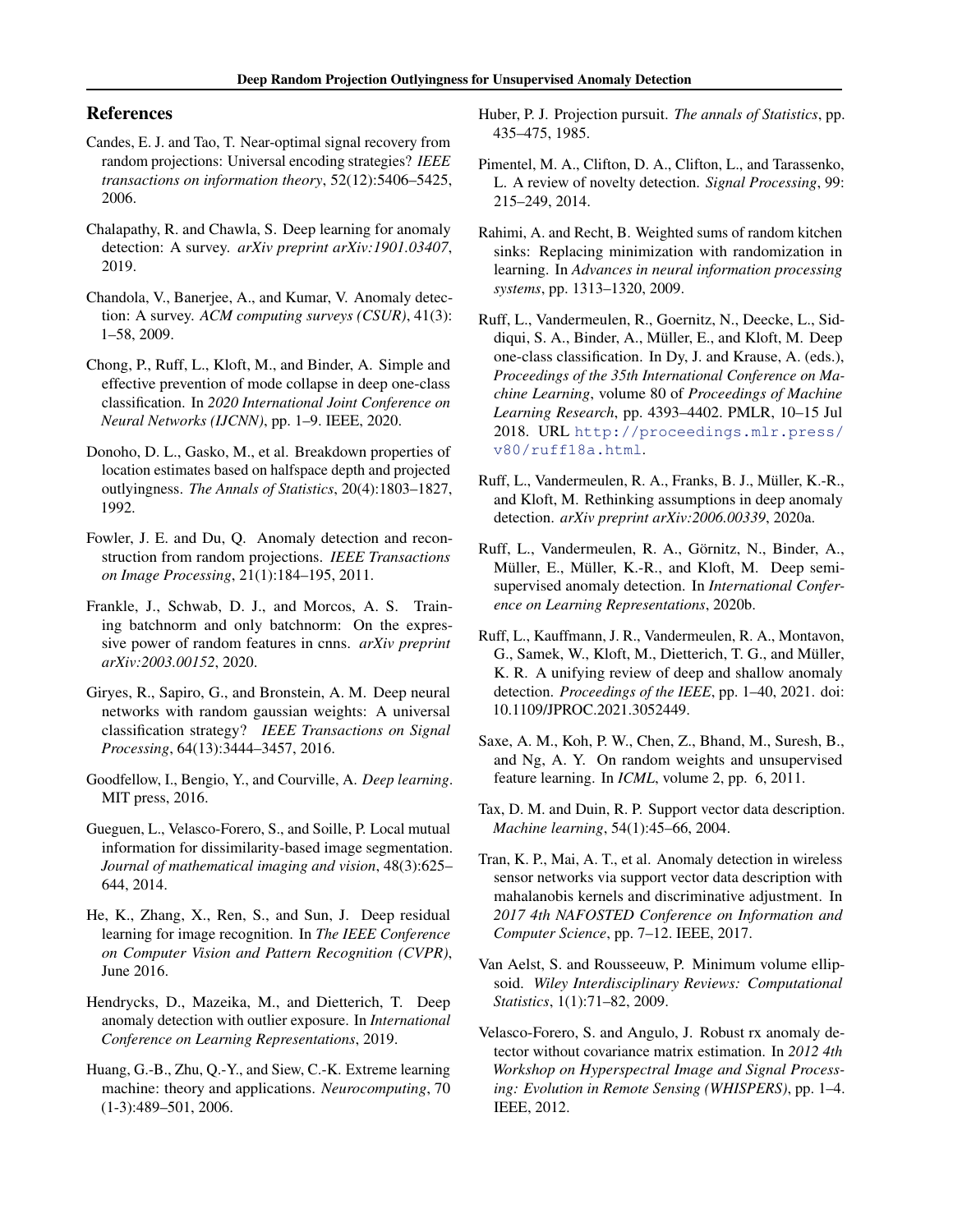## <span id="page-4-0"></span>References

- Candes, E. J. and Tao, T. Near-optimal signal recovery from random projections: Universal encoding strategies? *IEEE transactions on information theory*, 52(12):5406–5425, 2006.
- Chalapathy, R. and Chawla, S. Deep learning for anomaly detection: A survey. *arXiv preprint arXiv:1901.03407*, 2019.
- Chandola, V., Banerjee, A., and Kumar, V. Anomaly detection: A survey. *ACM computing surveys (CSUR)*, 41(3): 1–58, 2009.
- Chong, P., Ruff, L., Kloft, M., and Binder, A. Simple and effective prevention of mode collapse in deep one-class classification. In *2020 International Joint Conference on Neural Networks (IJCNN)*, pp. 1–9. IEEE, 2020.
- Donoho, D. L., Gasko, M., et al. Breakdown properties of location estimates based on halfspace depth and projected outlyingness. *The Annals of Statistics*, 20(4):1803–1827, 1992.
- Fowler, J. E. and Du, Q. Anomaly detection and reconstruction from random projections. *IEEE Transactions on Image Processing*, 21(1):184–195, 2011.
- Frankle, J., Schwab, D. J., and Morcos, A. S. Training batchnorm and only batchnorm: On the expressive power of random features in cnns. *arXiv preprint arXiv:2003.00152*, 2020.
- Giryes, R., Sapiro, G., and Bronstein, A. M. Deep neural networks with random gaussian weights: A universal classification strategy? *IEEE Transactions on Signal Processing*, 64(13):3444–3457, 2016.
- Goodfellow, I., Bengio, Y., and Courville, A. *Deep learning*. MIT press, 2016.
- Gueguen, L., Velasco-Forero, S., and Soille, P. Local mutual information for dissimilarity-based image segmentation. *Journal of mathematical imaging and vision*, 48(3):625– 644, 2014.
- He, K., Zhang, X., Ren, S., and Sun, J. Deep residual learning for image recognition. In *The IEEE Conference on Computer Vision and Pattern Recognition (CVPR)*, June 2016.
- Hendrycks, D., Mazeika, M., and Dietterich, T. Deep anomaly detection with outlier exposure. In *International Conference on Learning Representations*, 2019.
- Huang, G.-B., Zhu, Q.-Y., and Siew, C.-K. Extreme learning machine: theory and applications. *Neurocomputing*, 70 (1-3):489–501, 2006.
- Huber, P. J. Projection pursuit. *The annals of Statistics*, pp. 435–475, 1985.
- Pimentel, M. A., Clifton, D. A., Clifton, L., and Tarassenko, L. A review of novelty detection. *Signal Processing*, 99: 215–249, 2014.
- Rahimi, A. and Recht, B. Weighted sums of random kitchen sinks: Replacing minimization with randomization in learning. In *Advances in neural information processing systems*, pp. 1313–1320, 2009.
- Ruff, L., Vandermeulen, R., Goernitz, N., Deecke, L., Siddiqui, S. A., Binder, A., Muller, E., and Kloft, M. Deep ¨ one-class classification. In Dy, J. and Krause, A. (eds.), *Proceedings of the 35th International Conference on Machine Learning*, volume 80 of *Proceedings of Machine Learning Research*, pp. 4393–4402. PMLR, 10–15 Jul 2018. URL [http://proceedings.mlr.press/](http://proceedings.mlr.press/v80/ruff18a.html) [v80/ruff18a.html](http://proceedings.mlr.press/v80/ruff18a.html).
- Ruff, L., Vandermeulen, R. A., Franks, B. J., Müller, K.-R., and Kloft, M. Rethinking assumptions in deep anomaly detection. *arXiv preprint arXiv:2006.00339*, 2020a.
- Ruff, L., Vandermeulen, R. A., Görnitz, N., Binder, A., Müller, E., Müller, K.-R., and Kloft, M. Deep semisupervised anomaly detection. In *International Conference on Learning Representations*, 2020b.
- Ruff, L., Kauffmann, J. R., Vandermeulen, R. A., Montavon, G., Samek, W., Kloft, M., Dietterich, T. G., and Müller, K. R. A unifying review of deep and shallow anomaly detection. *Proceedings of the IEEE*, pp. 1–40, 2021. doi: 10.1109/JPROC.2021.3052449.
- Saxe, A. M., Koh, P. W., Chen, Z., Bhand, M., Suresh, B., and Ng, A. Y. On random weights and unsupervised feature learning. In *ICML*, volume 2, pp. 6, 2011.
- Tax, D. M. and Duin, R. P. Support vector data description. *Machine learning*, 54(1):45–66, 2004.
- Tran, K. P., Mai, A. T., et al. Anomaly detection in wireless sensor networks via support vector data description with mahalanobis kernels and discriminative adjustment. In *2017 4th NAFOSTED Conference on Information and Computer Science*, pp. 7–12. IEEE, 2017.
- Van Aelst, S. and Rousseeuw, P. Minimum volume ellipsoid. *Wiley Interdisciplinary Reviews: Computational Statistics*, 1(1):71–82, 2009.
- Velasco-Forero, S. and Angulo, J. Robust rx anomaly detector without covariance matrix estimation. In *2012 4th Workshop on Hyperspectral Image and Signal Processing: Evolution in Remote Sensing (WHISPERS)*, pp. 1–4. IEEE, 2012.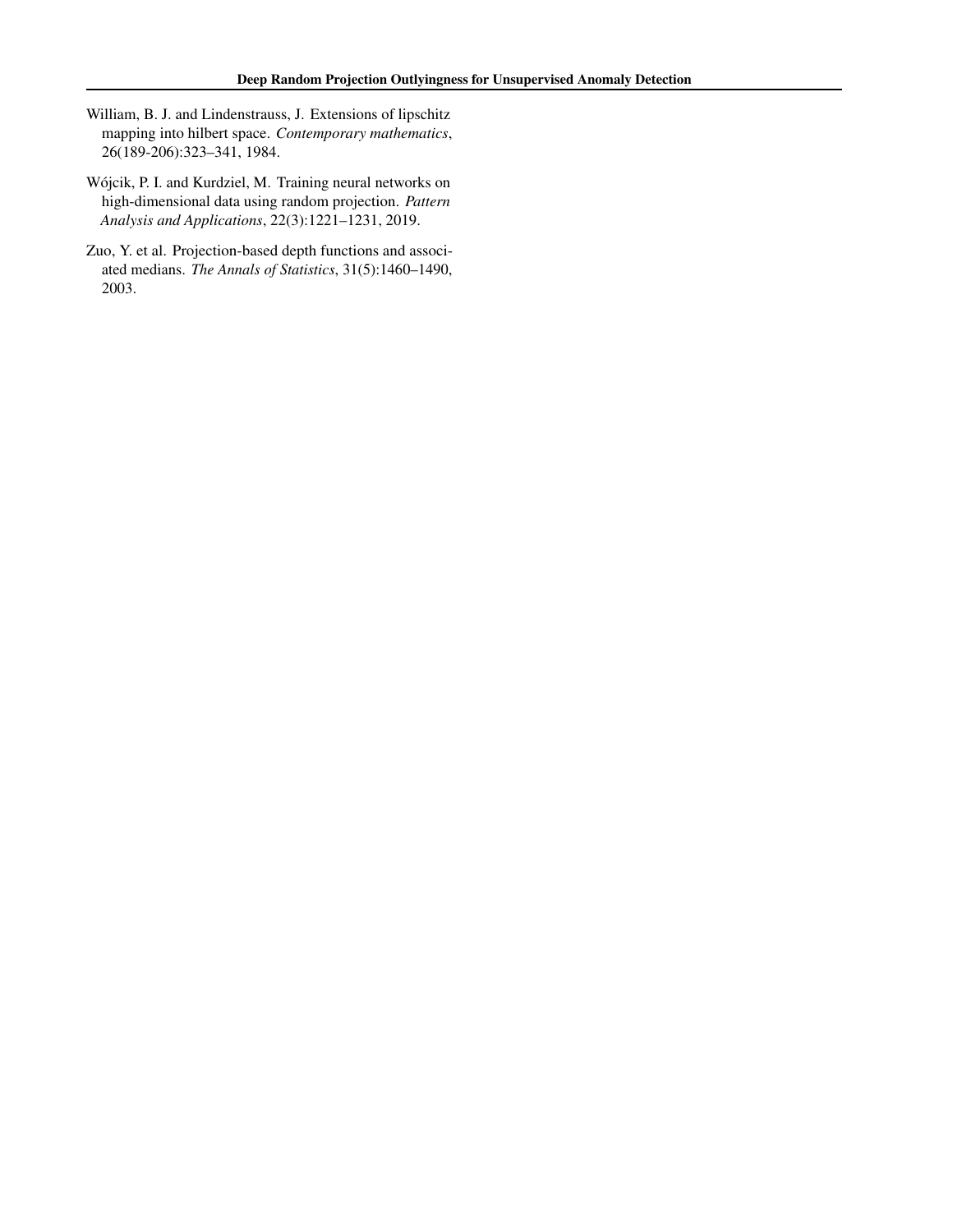- <span id="page-5-0"></span>William, B. J. and Lindenstrauss, J. Extensions of lipschitz mapping into hilbert space. *Contemporary mathematics*, 26(189-206):323–341, 1984.
- Wojcik, P. I. and Kurdziel, M. Training neural networks on ´ high-dimensional data using random projection. *Pattern Analysis and Applications*, 22(3):1221–1231, 2019.
- Zuo, Y. et al. Projection-based depth functions and associated medians. *The Annals of Statistics*, 31(5):1460–1490, 2003.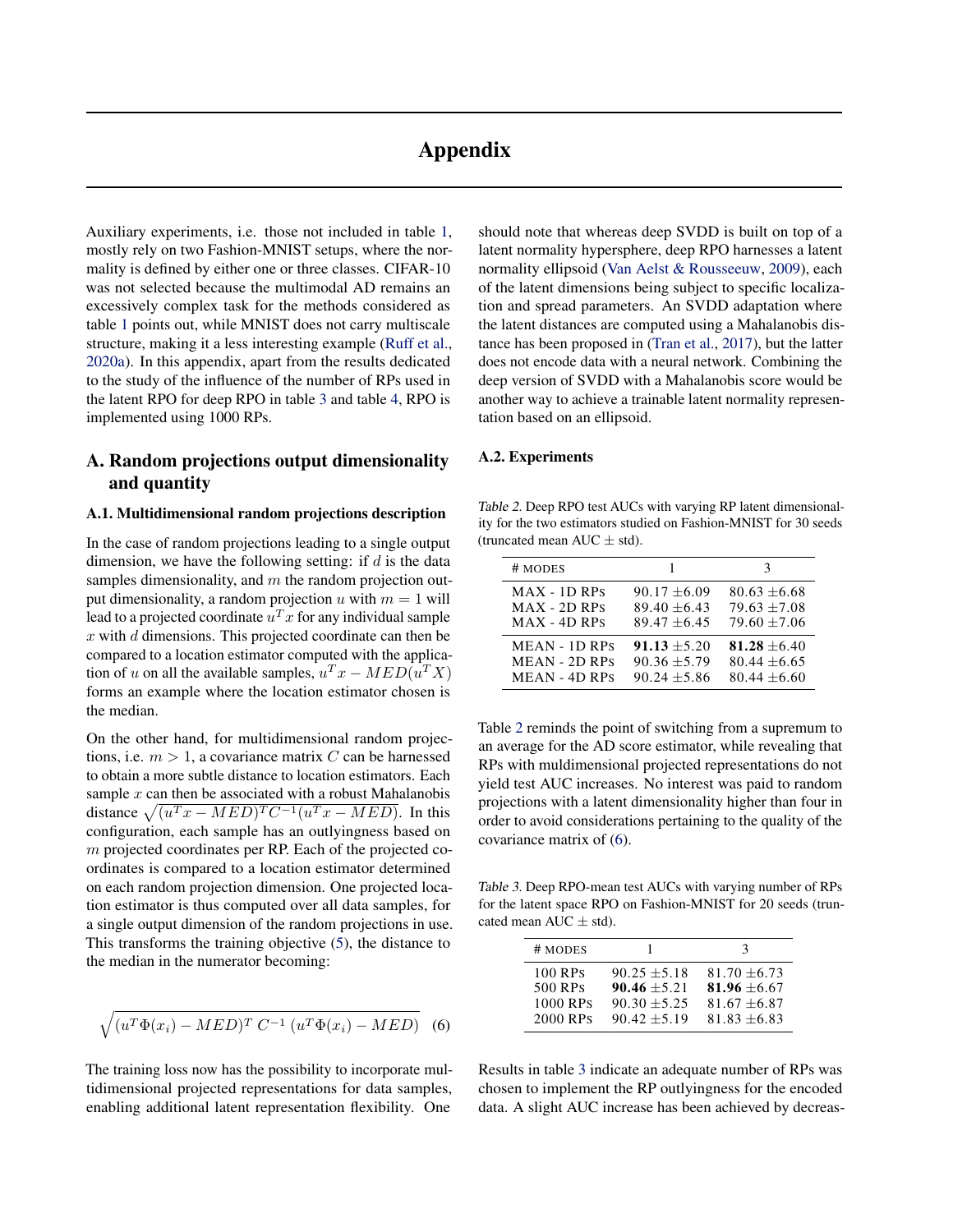# Appendix

Auxiliary experiments, i.e. those not included in table [1,](#page-3-0) mostly rely on two Fashion-MNIST setups, where the normality is defined by either one or three classes. CIFAR-10 was not selected because the multimodal AD remains an excessively complex task for the methods considered as table [1](#page-3-0) points out, while MNIST does not carry multiscale structure, making it a less interesting example [\(Ruff et al.,](#page-4-0) [2020a\)](#page-4-0). In this appendix, apart from the results dedicated to the study of the influence of the number of RPs used in the latent RPO for deep RPO in table 3 and table [4,](#page-7-0) RPO is implemented using 1000 RPs.

# A. Random projections output dimensionality and quantity

#### A.1. Multidimensional random projections description

In the case of random projections leading to a single output dimension, we have the following setting: if  $d$  is the data samples dimensionality, and  $m$  the random projection output dimensionality, a random projection u with  $m = 1$  will lead to a projected coordinate  $u^T x$  for any individual sample  $x$  with  $d$  dimensions. This projected coordinate can then be compared to a location estimator computed with the application of u on all the available samples,  $u^T x - MED(u^T X)$ forms an example where the location estimator chosen is the median.

On the other hand, for multidimensional random projections, i.e.  $m > 1$ , a covariance matrix C can be harnessed to obtain a more subtle distance to location estimators. Each sample  $x$  can then be associated with a robust Mahalanobis distance  $\sqrt{(u^T x - MED)^T C^{-1}(u^T x - MED)}$ . In this configuration, each sample has an outlyingness based on m projected coordinates per RP. Each of the projected coordinates is compared to a location estimator determined on each random projection dimension. One projected location estimator is thus computed over all data samples, for a single output dimension of the random projections in use. This transforms the training objective [\(5\)](#page-2-0), the distance to the median in the numerator becoming:

$$
\sqrt{(u^T\Phi(x_i) - MED)^T C^{-1} (u^T\Phi(x_i) - MED)}
$$
 (6)

The training loss now has the possibility to incorporate multidimensional projected representations for data samples, enabling additional latent representation flexibility. One

should note that whereas deep SVDD is built on top of a latent normality hypersphere, deep RPO harnesses a latent normality ellipsoid [\(Van Aelst & Rousseeuw,](#page-4-0) [2009\)](#page-4-0), each of the latent dimensions being subject to specific localization and spread parameters. An SVDD adaptation where the latent distances are computed using a Mahalanobis distance has been proposed in [\(Tran et al.,](#page-4-0) [2017\)](#page-4-0), but the latter does not encode data with a neural network. Combining the deep version of SVDD with a Mahalanobis score would be another way to achieve a trainable latent normality representation based on an ellipsoid.

#### A.2. Experiments

Table 2. Deep RPO test AUCs with varying RP latent dimensionality for the two estimators studied on Fashion-MNIST for 30 seeds (truncated mean AUC  $\pm$  std).

| # MODES              |                | 3                |
|----------------------|----------------|------------------|
| $MAX - 1D RPs$       | $90.17 + 6.09$ | $80.63 \pm 6.68$ |
| $MAX - 2D RPS$       | $89.40 + 6.43$ | $79.63 + 7.08$   |
| $MAX - 4D RPs$       | $89.47 + 6.45$ | $79.60 \pm 7.06$ |
| <b>MEAN - 1D RPS</b> | $91.13 + 5.20$ | $81.28 + 6.40$   |
| <b>MEAN - 2D RPS</b> | $90.36 + 5.79$ | $80.44 \pm 6.65$ |
| <b>MEAN - 4D RPS</b> | $90.24 + 5.86$ | $80.44 + 6.60$   |

Table 2 reminds the point of switching from a supremum to an average for the AD score estimator, while revealing that RPs with muldimensional projected representations do not yield test AUC increases. No interest was paid to random projections with a latent dimensionality higher than four in order to avoid considerations pertaining to the quality of the covariance matrix of (6).

Table 3. Deep RPO-mean test AUCs with varying number of RPs for the latent space RPO on Fashion-MNIST for 20 seeds (truncated mean AUC  $\pm$  std).

| # MODES  |                | 3              |
|----------|----------------|----------------|
| 100 RPs  | $90.25 + 5.18$ | $81.70 + 6.73$ |
| 500 RPs  | $90.46 + 5.21$ | $81.96 + 6.67$ |
| 1000 RPs | $90.30 + 5.25$ | $81.67 + 6.87$ |
| 2000 RPs | $90.42 + 5.19$ | $81.83 + 6.83$ |

Results in table 3 indicate an adequate number of RPs was chosen to implement the RP outlyingness for the encoded data. A slight AUC increase has been achieved by decreas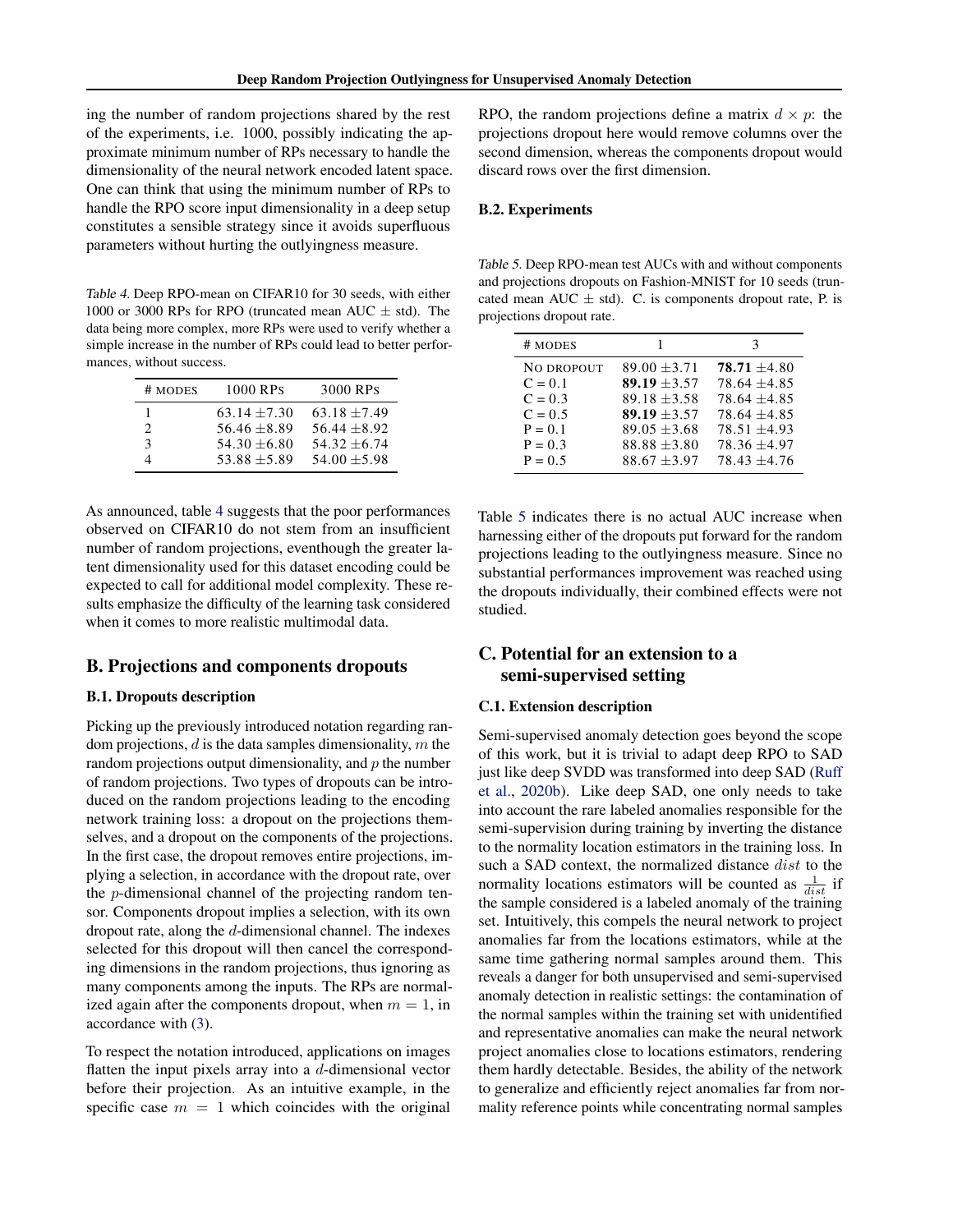<span id="page-7-0"></span>ing the number of random projections shared by the rest of the experiments, i.e. 1000, possibly indicating the approximate minimum number of RPs necessary to handle the dimensionality of the neural network encoded latent space. One can think that using the minimum number of RPs to handle the RPO score input dimensionality in a deep setup constitutes a sensible strategy since it avoids superfluous parameters without hurting the outlyingness measure.

Table 4. Deep RPO-mean on CIFAR10 for 30 seeds, with either 1000 or 3000 RPs for RPO (truncated mean AUC  $\pm$  std). The data being more complex, more RPs were used to verify whether a simple increase in the number of RPs could lead to better performances, without success.

| # MODES                     | 1000 RPs       | 3000 RPs       |
|-----------------------------|----------------|----------------|
|                             | $63.14 + 7.30$ | $63.18 + 7.49$ |
| $\mathcal{D}_{\mathcal{L}}$ | $56.46 + 8.89$ | $56.44 + 8.92$ |
| 3                           | $54.30 + 6.80$ | $54.32 + 6.74$ |
|                             | $53.88 + 5.89$ | $54.00 + 5.98$ |

As announced, table 4 suggests that the poor performances observed on CIFAR10 do not stem from an insufficient number of random projections, eventhough the greater latent dimensionality used for this dataset encoding could be expected to call for additional model complexity. These results emphasize the difficulty of the learning task considered when it comes to more realistic multimodal data.

## B. Projections and components dropouts

#### B.1. Dropouts description

Picking up the previously introduced notation regarding random projections,  $d$  is the data samples dimensionality,  $m$  the random projections output dimensionality, and  $p$  the number of random projections. Two types of dropouts can be introduced on the random projections leading to the encoding network training loss: a dropout on the projections themselves, and a dropout on the components of the projections. In the first case, the dropout removes entire projections, implying a selection, in accordance with the dropout rate, over the p-dimensional channel of the projecting random tensor. Components dropout implies a selection, with its own dropout rate, along the d-dimensional channel. The indexes selected for this dropout will then cancel the corresponding dimensions in the random projections, thus ignoring as many components among the inputs. The RPs are normalized again after the components dropout, when  $m = 1$ , in accordance with [\(3\)](#page-1-0).

To respect the notation introduced, applications on images flatten the input pixels array into a  $d$ -dimensional vector before their projection. As an intuitive example, in the specific case  $m = 1$  which coincides with the original

RPO, the random projections define a matrix  $d \times p$ : the projections dropout here would remove columns over the second dimension, whereas the components dropout would discard rows over the first dimension.

#### B.2. Experiments

Table 5. Deep RPO-mean test AUCs with and without components and projections dropouts on Fashion-MNIST for 10 seeds (truncated mean AUC  $\pm$  std). C. is components dropout rate, P. is projections dropout rate.

| # MODES    |                  | 3                |
|------------|------------------|------------------|
| NO DROPOUT | $89.00 + 3.71$   | $78.71 + 4.80$   |
| $C = 0.1$  | $89.19 + 3.57$   | $78.64 + 4.85$   |
| $C = 0.3$  | $89.18 \pm 3.58$ | $78.64 + 4.85$   |
| $C = 0.5$  | $89.19 + 3.57$   | $78.64 + 4.85$   |
| $P = 0.1$  | $89.05 + 3.68$   | $78.51 + 4.93$   |
| $P = 0.3$  | $88.88 \pm 3.80$ | $78.36 \pm 4.97$ |
| $P = 0.5$  | $88.67 + 3.97$   | $78.43 + 4.76$   |

Table 5 indicates there is no actual AUC increase when harnessing either of the dropouts put forward for the random projections leading to the outlyingness measure. Since no substantial performances improvement was reached using the dropouts individually, their combined effects were not studied.

## C. Potential for an extension to a semi-supervised setting

#### C.1. Extension description

Semi-supervised anomaly detection goes beyond the scope of this work, but it is trivial to adapt deep RPO to SAD just like deep SVDD was transformed into deep SAD [\(Ruff](#page-4-0) [et al.,](#page-4-0) [2020b\)](#page-4-0). Like deep SAD, one only needs to take into account the rare labeled anomalies responsible for the semi-supervision during training by inverting the distance to the normality location estimators in the training loss. In such a SAD context, the normalized distance *dist* to the normality locations estimators will be counted as  $\frac{1}{dist}$  if the sample considered is a labeled anomaly of the training set. Intuitively, this compels the neural network to project anomalies far from the locations estimators, while at the same time gathering normal samples around them. This reveals a danger for both unsupervised and semi-supervised anomaly detection in realistic settings: the contamination of the normal samples within the training set with unidentified and representative anomalies can make the neural network project anomalies close to locations estimators, rendering them hardly detectable. Besides, the ability of the network to generalize and efficiently reject anomalies far from normality reference points while concentrating normal samples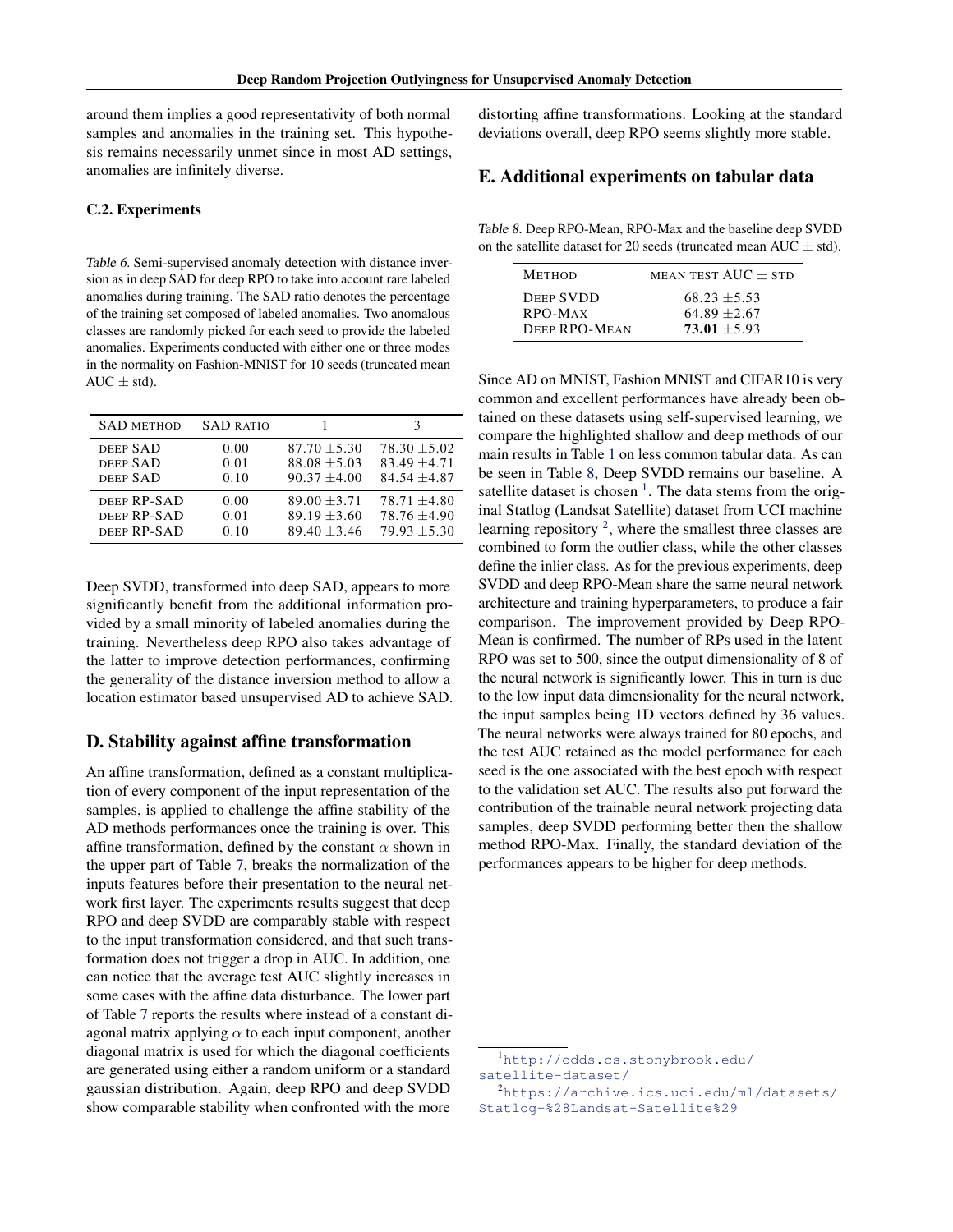around them implies a good representativity of both normal samples and anomalies in the training set. This hypothesis remains necessarily unmet since in most AD settings, anomalies are infinitely diverse.

#### C.2. Experiments

Table 6. Semi-supervised anomaly detection with distance inversion as in deep SAD for deep RPO to take into account rare labeled anomalies during training. The SAD ratio denotes the percentage of the training set composed of labeled anomalies. Two anomalous classes are randomly picked for each seed to provide the labeled anomalies. Experiments conducted with either one or three modes in the normality on Fashion-MNIST for 10 seeds (truncated mean  $AUC \pm std$ ).

| <b>SAD METHOD</b> | <b>SAD RATIO</b> |                  |                  |
|-------------------|------------------|------------------|------------------|
| DEEP SAD          | 0.00             | $87.70 \pm 5.30$ | $78.30 + 5.02$   |
| DEEP SAD          | 0.01             | $88.08 \pm 5.03$ | $83.49 + 4.71$   |
| DEEP SAD          | 0.10             | $90.37 \pm 4.00$ | $84.54 \pm 4.87$ |
| DEEP RP-SAD       | 0.00             | $89.00 + 3.71$   | $78.71 + 4.80$   |
| DEEP RP-SAD       | 0.01             | $89.19 \pm 3.60$ | $78.76 \pm 4.90$ |
| DEEP RP-SAD       | 0.10             | $89.40 \pm 3.46$ | $79.93 + 5.30$   |

Deep SVDD, transformed into deep SAD, appears to more significantly benefit from the additional information provided by a small minority of labeled anomalies during the training. Nevertheless deep RPO also takes advantage of the latter to improve detection performances, confirming the generality of the distance inversion method to allow a location estimator based unsupervised AD to achieve SAD.

### D. Stability against affine transformation

An affine transformation, defined as a constant multiplication of every component of the input representation of the samples, is applied to challenge the affine stability of the AD methods performances once the training is over. This affine transformation, defined by the constant  $\alpha$  shown in the upper part of Table [7,](#page-9-0) breaks the normalization of the inputs features before their presentation to the neural network first layer. The experiments results suggest that deep RPO and deep SVDD are comparably stable with respect to the input transformation considered, and that such transformation does not trigger a drop in AUC. In addition, one can notice that the average test AUC slightly increases in some cases with the affine data disturbance. The lower part of Table [7](#page-9-0) reports the results where instead of a constant diagonal matrix applying  $\alpha$  to each input component, another diagonal matrix is used for which the diagonal coefficients are generated using either a random uniform or a standard gaussian distribution. Again, deep RPO and deep SVDD show comparable stability when confronted with the more

distorting affine transformations. Looking at the standard deviations overall, deep RPO seems slightly more stable.

## E. Additional experiments on tabular data

Table 8. Deep RPO-Mean, RPO-Max and the baseline deep SVDD on the satellite dataset for 20 seeds (truncated mean AUC  $\pm$  std).

| <b>METHOD</b>    | MEAN TEST $AUC + STD$ |
|------------------|-----------------------|
| <b>DEEP SVDD</b> | $68.23 + 5.53$        |
| RPO-MAX          | $64.89 + 2.67$        |
| DEEP RPO-MEAN    | $73.01 + 5.93$        |

Since AD on MNIST, Fashion MNIST and CIFAR10 is very common and excellent performances have already been obtained on these datasets using self-supervised learning, we compare the highlighted shallow and deep methods of our main results in Table [1](#page-3-0) on less common tabular data. As can be seen in Table 8, Deep SVDD remains our baseline. A satellite dataset is chosen<sup>1</sup>. The data stems from the original Statlog (Landsat Satellite) dataset from UCI machine learning repository<sup>2</sup>, where the smallest three classes are combined to form the outlier class, while the other classes define the inlier class. As for the previous experiments, deep SVDD and deep RPO-Mean share the same neural network architecture and training hyperparameters, to produce a fair comparison. The improvement provided by Deep RPO-Mean is confirmed. The number of RPs used in the latent RPO was set to 500, since the output dimensionality of 8 of the neural network is significantly lower. This in turn is due to the low input data dimensionality for the neural network, the input samples being 1D vectors defined by 36 values. The neural networks were always trained for 80 epochs, and the test AUC retained as the model performance for each seed is the one associated with the best epoch with respect to the validation set AUC. The results also put forward the contribution of the trainable neural network projecting data samples, deep SVDD performing better then the shallow method RPO-Max. Finally, the standard deviation of the performances appears to be higher for deep methods.

<sup>1</sup>[http://odds.cs.stonybrook.edu/](http://odds.cs.stonybrook.edu/satellite-dataset/) [satellite-dataset/](http://odds.cs.stonybrook.edu/satellite-dataset/)

<sup>2</sup>[https://archive.ics.uci.edu/ml/datasets/](https://archive.ics.uci.edu/ml/datasets/Statlog+%28Landsat+Satellite%29) [Statlog+%28Landsat+Satellite%29](https://archive.ics.uci.edu/ml/datasets/Statlog+%28Landsat+Satellite%29)